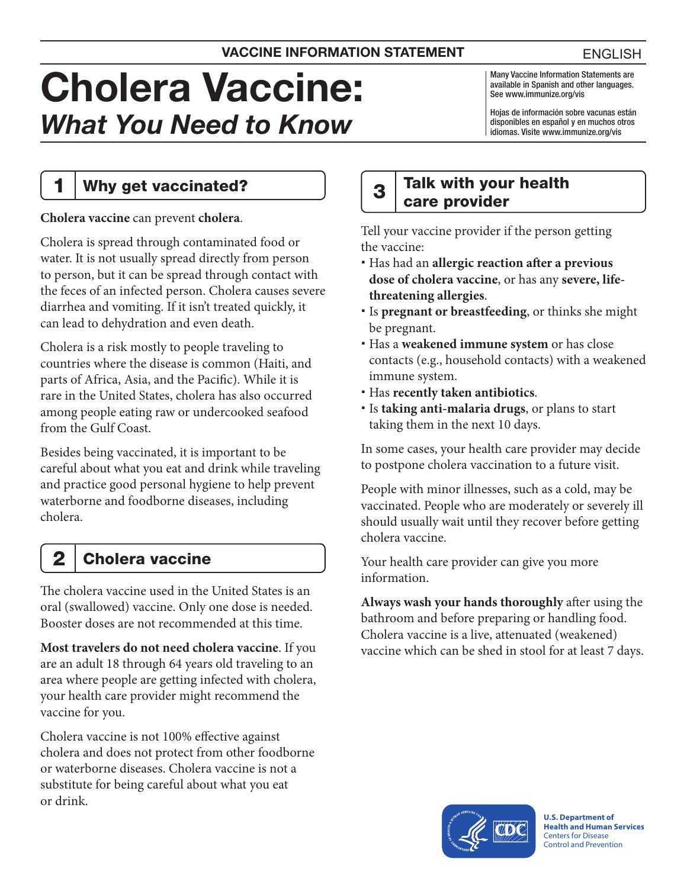# Cholera Vaccine: *What You Need to Know*

Many Vaccine Information Statements are available in Spanish and other languages. See [www.immunize.org/vis](http://www.immunize.org/vis)

Hojas de información sobre vacunas están disponibles en español y en muchos otros idiomas. Visite [www.immunize.org/vis](http://www.immunize.org/vis)

### 1 | Why get vaccinated?

**Cholera vaccine** can prevent **cholera**.

Cholera is spread through contaminated food or water. It is not usually spread directly from person to person, but it can be spread through contact with the feces of an infected person. Cholera causes severe diarrhea and vomiting. If it isn't treated quickly, it can lead to dehydration and even death.

Cholera is a risk mostly to people traveling to countries where the disease is common (Haiti, and parts of Africa, Asia, and the Pacific). While it is rare in the United States, cholera has also occurred among people eating raw or undercooked seafood from the Gulf Coast.

Besides being vaccinated, it is important to be careful about what you eat and drink while traveling and practice good personal hygiene to help prevent waterborne and foodborne diseases, including cholera.

## **Cholera vaccine**

The cholera vaccine used in the United States is an oral (swallowed) vaccine. Only one dose is needed. Booster doses are not recommended at this time.

**Most travelers do not need cholera vaccine**. If you are an adult 18 through 64 years old traveling to an area where people are getting infected with cholera, your health care provider might recommend the vaccine for you.

Cholera vaccine is not 100% effective against cholera and does not protect from other foodborne or waterborne diseases. Cholera vaccine is not a substitute for being careful about what you eat or drink.

#### $3$  Talk with your health care provider

Tell your vaccine provider if the person getting the vaccine:

- Has had an **allergic reaction after a previous dose of cholera vaccine**, or has any **severe, lifethreatening allergies**.
- Is **pregnant or breastfeeding**, or thinks she might be pregnant.
- Has a **weakened immune system** or has close contacts (e.g., household contacts) with a weakened immune system.
- Has **recently taken antibiotics**.
- Is **taking anti-malaria drugs**, or plans to start taking them in the next 10 days.

In some cases, your health care provider may decide to postpone cholera vaccination to a future visit.

People with minor illnesses, such as a cold, may be vaccinated. People who are moderately or severely ill should usually wait until they recover before getting cholera vaccine.

Your health care provider can give you more information.

**Always wash your hands thoroughly** after using the bathroom and before preparing or handling food. Cholera vaccine is a live, attenuated (weakened) vaccine which can be shed in stool for at least 7 days.



**U.S. Department of Health and Human Services** 

Centers for Disease Control and Prevention

ENGLISH